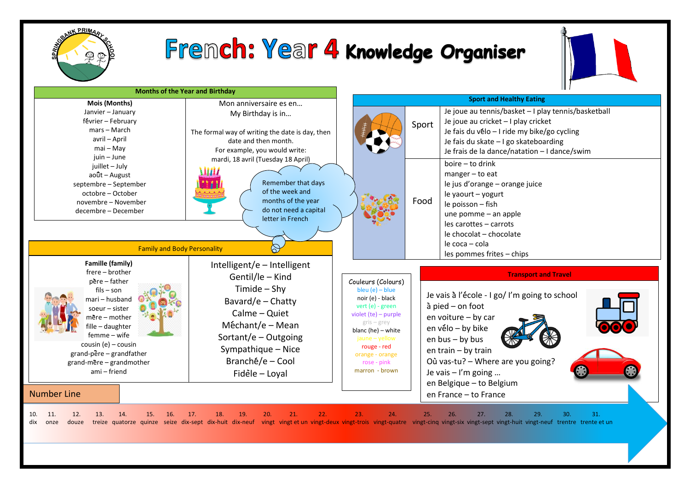

## Fremch: Year 4 Knowledge Organiser



| <b>Months of the Year and Birthday</b>                  |                                                 | Ш                                       |       |                                                                                                                                                                                                     |
|---------------------------------------------------------|-------------------------------------------------|-----------------------------------------|-------|-----------------------------------------------------------------------------------------------------------------------------------------------------------------------------------------------------|
| Mois (Months)                                           | Mon anniversaire es en                          | <b>Sport and Healthy Eating</b>         |       |                                                                                                                                                                                                     |
| Janvier - January                                       | My Birthday is in                               |                                         |       | Je joue au tennis/basket - I play tennis/basketball                                                                                                                                                 |
| février - February                                      |                                                 |                                         | Sport | Je joue au cricket - I play cricket                                                                                                                                                                 |
| mars - March                                            | The formal way of writing the date is day, then |                                         |       | Je fais du vélo - I ride my bike/go cycling                                                                                                                                                         |
| avril - April<br>$mai - May$                            | date and then month.                            |                                         |       | Je fais du skate - I go skateboarding                                                                                                                                                               |
| juin - June                                             | For example, you would write:                   |                                         |       | Je frais de la dance/natation - I dance/swim                                                                                                                                                        |
| juillet - July                                          | mardi, 18 avril (Tuesday 18 April)              |                                         |       | boire - to drink                                                                                                                                                                                    |
| août - August                                           |                                                 |                                         |       | $manger - to eat$                                                                                                                                                                                   |
| septembre - September                                   | Remember that days                              |                                         |       | le jus d'orange – orange juice                                                                                                                                                                      |
| octobre - October                                       | of the week and                                 |                                         |       | le yaourt - yogurt                                                                                                                                                                                  |
| novembre – November                                     | months of the year                              |                                         | Food  | le poisson - fish                                                                                                                                                                                   |
| decembre - December                                     | do not need a capital<br>letter in French       |                                         |       | une pomme - an apple                                                                                                                                                                                |
|                                                         |                                                 |                                         |       | les carottes - carrots                                                                                                                                                                              |
|                                                         |                                                 |                                         |       | le chocolat – chocolate                                                                                                                                                                             |
| <b>Family and Body Personality</b>                      |                                                 |                                         |       | le coca – cola                                                                                                                                                                                      |
|                                                         |                                                 |                                         |       | les pommes frites - chips                                                                                                                                                                           |
| Famille (family)                                        | Intelligent/e - Intelligent                     |                                         |       |                                                                                                                                                                                                     |
| frere - brother                                         | Gentil/le - Kind                                |                                         |       | <b>Transport and Travel</b>                                                                                                                                                                         |
| père - father<br>$fils - son$                           | Timide $-$ Shy                                  | Couleurs (Colours)<br>bleu $(e)$ – blue |       |                                                                                                                                                                                                     |
| mari – husband                                          | Bavard/e - Chatty                               | noir (e) - black                        |       | Je vais à l'école - I go/ I'm going to school                                                                                                                                                       |
| soeur $-$ sister                                        |                                                 | vert $(e)$ - green                      |       | $a$ pied $-$ on foot                                                                                                                                                                                |
| nëre – mother                                           | Calme - Quiet                                   | violet $(te)$ – purple                  |       | en voiture - by car                                                                                                                                                                                 |
| fille - daughter                                        | $Méchant/e - Mean$                              | $gris - grey$<br>blanc (he) - white     |       | en vélo - by bike                                                                                                                                                                                   |
| femme - wife                                            | Sortant/e - Outgoing                            | jaune - yellow                          |       | en bus - by bus                                                                                                                                                                                     |
| cousin (e) $-$ cousin                                   | Sympathique - Nice                              | rouge - red                             |       | en train - by train                                                                                                                                                                                 |
| grand-pere - grandfather<br>$grand$ -mere – grandmother | Branché/e - Cool                                | orange - orange<br>rose - pink          |       | Où vas-tu? - Where are you going?                                                                                                                                                                   |
| ami – friend                                            |                                                 | marron - brown                          |       | Je vais $-1'm$ going                                                                                                                                                                                |
|                                                         | Fidele - Loyal                                  |                                         |       | en Belgique - to Belgium                                                                                                                                                                            |
| <b>Number Line</b>                                      |                                                 |                                         |       | en France - to France                                                                                                                                                                               |
| 14.<br>11.<br>12.<br>13.<br>15.<br>16.                  | 21.<br>22.<br>17.<br>18.<br>19.<br>20.          | 23.<br>24.                              | 25.   | 29.<br>31.<br>28.<br>30.<br>26.<br>27.                                                                                                                                                              |
| 10.<br>douze<br>dix<br>onze                             |                                                 |                                         |       | treize quatorze quinze seize dix-sept dix-huit dix-neuf vingt vingt et un vingt-deux vingt-trois vingt-quatre vingt-cinq vingt-cinq vingt-six vingt-huit vingt-huit vingt-neuf trentre trente et un |
|                                                         |                                                 |                                         |       |                                                                                                                                                                                                     |
|                                                         |                                                 |                                         |       |                                                                                                                                                                                                     |
|                                                         |                                                 |                                         |       |                                                                                                                                                                                                     |
|                                                         |                                                 |                                         |       |                                                                                                                                                                                                     |